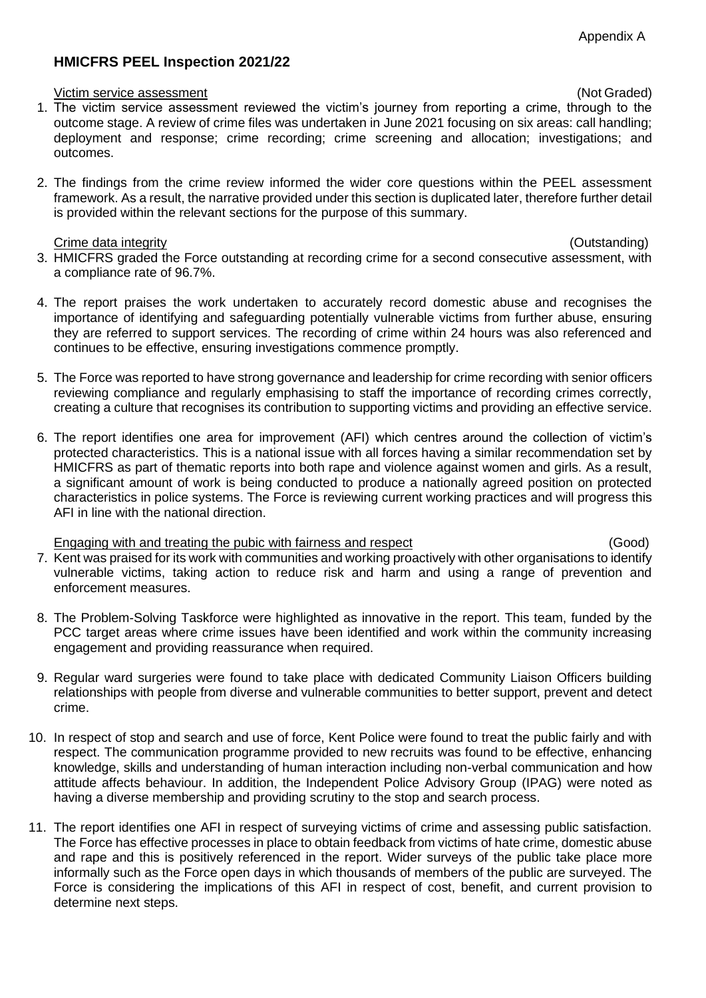# **HMICFRS PEEL Inspection 2021/22**

### Victim service assessment (Not Graded)

- 1. The victim service assessment reviewed the victim's journey from reporting a crime, through to the outcome stage. A review of crime files was undertaken in June 2021 focusing on six areas: call handling; deployment and response; crime recording; crime screening and allocation; investigations; and outcomes.
- 2. The findings from the crime review informed the wider core questions within the PEEL assessment framework. As a result, the narrative provided under this section is duplicated later, therefore further detail is provided within the relevant sections for the purpose of this summary.

### Crime data integrity (Outstanding)

- 3. HMICFRS graded the Force outstanding at recording crime for a second consecutive assessment, with a compliance rate of 96.7%.
- 4. The report praises the work undertaken to accurately record domestic abuse and recognises the importance of identifying and safeguarding potentially vulnerable victims from further abuse, ensuring they are referred to support services. The recording of crime within 24 hours was also referenced and continues to be effective, ensuring investigations commence promptly.
- 5. The Force was reported to have strong governance and leadership for crime recording with senior officers reviewing compliance and regularly emphasising to staff the importance of recording crimes correctly, creating a culture that recognises its contribution to supporting victims and providing an effective service.
- 6. The report identifies one area for improvement (AFI) which centres around the collection of victim's protected characteristics. This is a national issue with all forces having a similar recommendation set by HMICFRS as part of thematic reports into both rape and violence against women and girls. As a result, a significant amount of work is being conducted to produce a nationally agreed position on protected characteristics in police systems. The Force is reviewing current working practices and will progress this AFI in line with the national direction.

## Engaging with and treating the pubic with fairness and respect (Good)

- 7. Kent was praised for its work with communities and working proactively with other organisations to identify vulnerable victims, taking action to reduce risk and harm and using a range of prevention and enforcement measures.
- 8. The Problem-Solving Taskforce were highlighted as innovative in the report. This team, funded by the PCC target areas where crime issues have been identified and work within the community increasing engagement and providing reassurance when required.
- 9. Regular ward surgeries were found to take place with dedicated Community Liaison Officers building relationships with people from diverse and vulnerable communities to better support, prevent and detect crime.
- 10. In respect of stop and search and use of force, Kent Police were found to treat the public fairly and with respect. The communication programme provided to new recruits was found to be effective, enhancing knowledge, skills and understanding of human interaction including non-verbal communication and how attitude affects behaviour. In addition, the Independent Police Advisory Group (IPAG) were noted as having a diverse membership and providing scrutiny to the stop and search process.
- 11. The report identifies one AFI in respect of surveying victims of crime and assessing public satisfaction. The Force has effective processes in place to obtain feedback from victims of hate crime, domestic abuse and rape and this is positively referenced in the report. Wider surveys of the public take place more informally such as the Force open days in which thousands of members of the public are surveyed. The Force is considering the implications of this AFI in respect of cost, benefit, and current provision to determine next steps.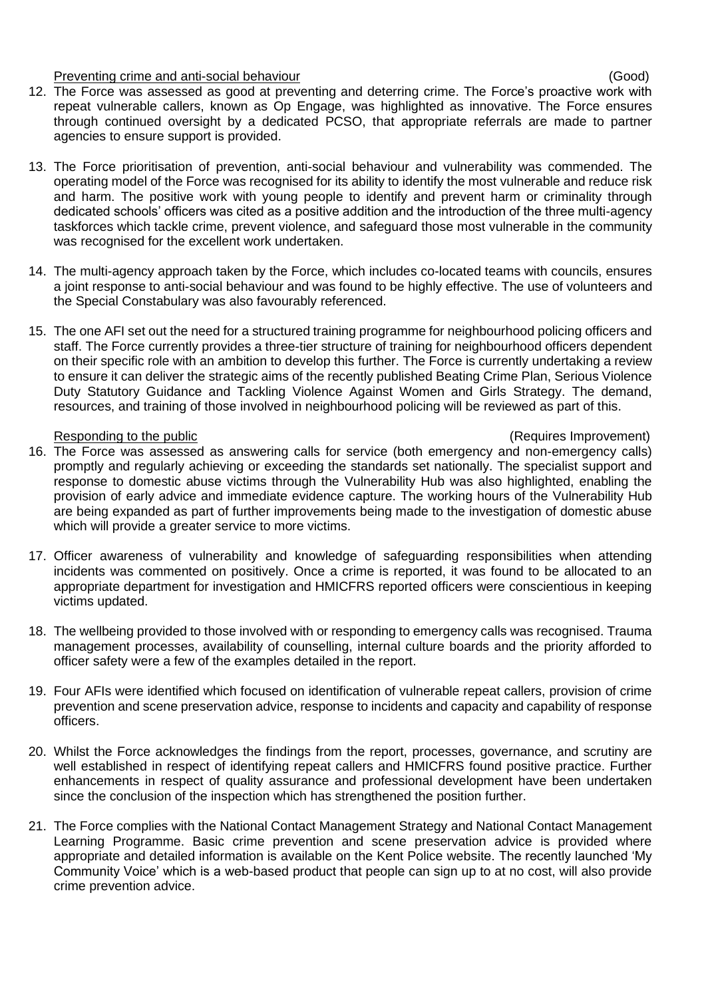Preventing crime and anti-social behaviour (Good)

- 12. The Force was assessed as good at preventing and deterring crime. The Force's proactive work with repeat vulnerable callers, known as Op Engage, was highlighted as innovative. The Force ensures through continued oversight by a dedicated PCSO, that appropriate referrals are made to partner agencies to ensure support is provided.
- 13. The Force prioritisation of prevention, anti-social behaviour and vulnerability was commended. The operating model of the Force was recognised for its ability to identify the most vulnerable and reduce risk and harm. The positive work with young people to identify and prevent harm or criminality through dedicated schools' officers was cited as a positive addition and the introduction of the three multi-agency taskforces which tackle crime, prevent violence, and safeguard those most vulnerable in the community was recognised for the excellent work undertaken.
- 14. The multi-agency approach taken by the Force, which includes co-located teams with councils, ensures a joint response to anti-social behaviour and was found to be highly effective. The use of volunteers and the Special Constabulary was also favourably referenced.
- 15. The one AFI set out the need for a structured training programme for neighbourhood policing officers and staff. The Force currently provides a three-tier structure of training for neighbourhood officers dependent on their specific role with an ambition to develop this further. The Force is currently undertaking a review to ensure it can deliver the strategic aims of the recently published Beating Crime Plan, Serious Violence Duty Statutory Guidance and Tackling Violence Against Women and Girls Strategy. The demand, resources, and training of those involved in neighbourhood policing will be reviewed as part of this.

# Responding to the public (Requires Improvement)

- 16. The Force was assessed as answering calls for service (both emergency and non-emergency calls) promptly and regularly achieving or exceeding the standards set nationally. The specialist support and response to domestic abuse victims through the Vulnerability Hub was also highlighted, enabling the provision of early advice and immediate evidence capture. The working hours of the Vulnerability Hub are being expanded as part of further improvements being made to the investigation of domestic abuse which will provide a greater service to more victims.
- 17. Officer awareness of vulnerability and knowledge of safeguarding responsibilities when attending incidents was commented on positively. Once a crime is reported, it was found to be allocated to an appropriate department for investigation and HMICFRS reported officers were conscientious in keeping victims updated.
- 18. The wellbeing provided to those involved with or responding to emergency calls was recognised. Trauma management processes, availability of counselling, internal culture boards and the priority afforded to officer safety were a few of the examples detailed in the report.
- 19. Four AFIs were identified which focused on identification of vulnerable repeat callers, provision of crime prevention and scene preservation advice, response to incidents and capacity and capability of response officers.
- 20. Whilst the Force acknowledges the findings from the report, processes, governance, and scrutiny are well established in respect of identifying repeat callers and HMICFRS found positive practice. Further enhancements in respect of quality assurance and professional development have been undertaken since the conclusion of the inspection which has strengthened the position further.
- 21. The Force complies with the National Contact Management Strategy and National Contact Management Learning Programme. Basic crime prevention and scene preservation advice is provided where appropriate and detailed information is available on the Kent Police website. The recently launched 'My Community Voice' which is a web-based product that people can sign up to at no cost, will also provide crime prevention advice.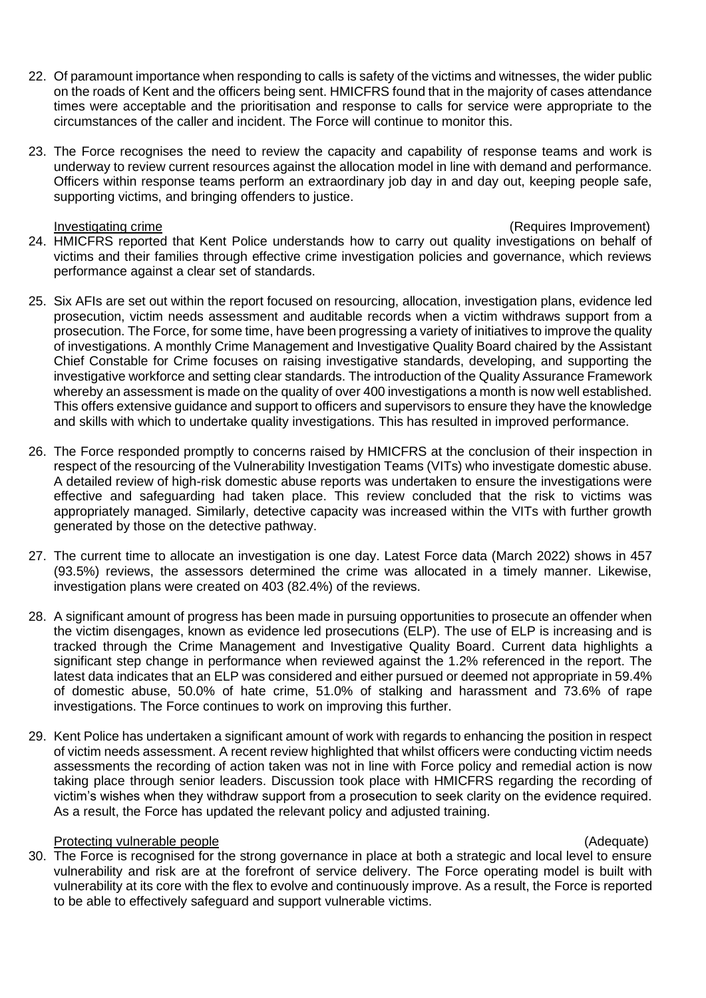- 22. Of paramount importance when responding to calls is safety of the victims and witnesses, the wider public on the roads of Kent and the officers being sent. HMICFRS found that in the majority of cases attendance times were acceptable and the prioritisation and response to calls for service were appropriate to the circumstances of the caller and incident. The Force will continue to monitor this.
- 23. The Force recognises the need to review the capacity and capability of response teams and work is underway to review current resources against the allocation model in line with demand and performance. Officers within response teams perform an extraordinary job day in and day out, keeping people safe, supporting victims, and bringing offenders to justice.

Investigating crime (Requires Improvement)

- 24. HMICFRS reported that Kent Police understands how to carry out quality investigations on behalf of victims and their families through effective crime investigation policies and governance, which reviews performance against a clear set of standards.
- 25. Six AFIs are set out within the report focused on resourcing, allocation, investigation plans, evidence led prosecution, victim needs assessment and auditable records when a victim withdraws support from a prosecution. The Force, for some time, have been progressing a variety of initiatives to improve the quality of investigations. A monthly Crime Management and Investigative Quality Board chaired by the Assistant Chief Constable for Crime focuses on raising investigative standards, developing, and supporting the investigative workforce and setting clear standards. The introduction of the Quality Assurance Framework whereby an assessment is made on the quality of over 400 investigations a month is now well established. This offers extensive guidance and support to officers and supervisors to ensure they have the knowledge and skills with which to undertake quality investigations. This has resulted in improved performance.
- 26. The Force responded promptly to concerns raised by HMICFRS at the conclusion of their inspection in respect of the resourcing of the Vulnerability Investigation Teams (VITs) who investigate domestic abuse. A detailed review of high-risk domestic abuse reports was undertaken to ensure the investigations were effective and safeguarding had taken place. This review concluded that the risk to victims was appropriately managed. Similarly, detective capacity was increased within the VITs with further growth generated by those on the detective pathway.
- 27. The current time to allocate an investigation is one day. Latest Force data (March 2022) shows in 457 (93.5%) reviews, the assessors determined the crime was allocated in a timely manner. Likewise, investigation plans were created on 403 (82.4%) of the reviews.
- 28. A significant amount of progress has been made in pursuing opportunities to prosecute an offender when the victim disengages, known as evidence led prosecutions (ELP). The use of ELP is increasing and is tracked through the Crime Management and Investigative Quality Board. Current data highlights a significant step change in performance when reviewed against the 1.2% referenced in the report. The latest data indicates that an ELP was considered and either pursued or deemed not appropriate in 59.4% of domestic abuse, 50.0% of hate crime, 51.0% of stalking and harassment and 73.6% of rape investigations. The Force continues to work on improving this further.
- 29. Kent Police has undertaken a significant amount of work with regards to enhancing the position in respect of victim needs assessment. A recent review highlighted that whilst officers were conducting victim needs assessments the recording of action taken was not in line with Force policy and remedial action is now taking place through senior leaders. Discussion took place with HMICFRS regarding the recording of victim's wishes when they withdraw support from a prosecution to seek clarity on the evidence required. As a result, the Force has updated the relevant policy and adjusted training.

## Protecting vulnerable people (Adequate)

30. The Force is recognised for the strong governance in place at both a strategic and local level to ensure vulnerability and risk are at the forefront of service delivery. The Force operating model is built with vulnerability at its core with the flex to evolve and continuously improve. As a result, the Force is reported to be able to effectively safeguard and support vulnerable victims.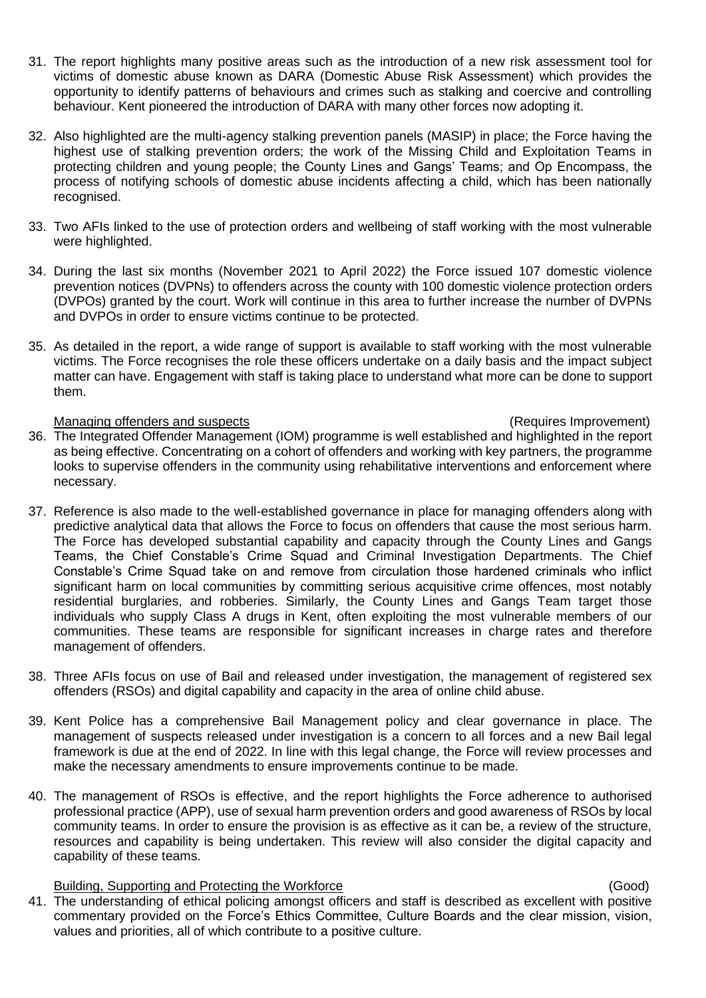- 31. The report highlights many positive areas such as the introduction of a new risk assessment tool for victims of domestic abuse known as DARA (Domestic Abuse Risk Assessment) which provides the opportunity to identify patterns of behaviours and crimes such as stalking and coercive and controlling behaviour. Kent pioneered the introduction of DARA with many other forces now adopting it.
- 32. Also highlighted are the multi-agency stalking prevention panels (MASIP) in place; the Force having the highest use of stalking prevention orders; the work of the Missing Child and Exploitation Teams in protecting children and young people; the County Lines and Gangs' Teams; and Op Encompass, the process of notifying schools of domestic abuse incidents affecting a child, which has been nationally recognised.
- 33. Two AFIs linked to the use of protection orders and wellbeing of staff working with the most vulnerable were highlighted.
- 34. During the last six months (November 2021 to April 2022) the Force issued 107 domestic violence prevention notices (DVPNs) to offenders across the county with 100 domestic violence protection orders (DVPOs) granted by the court. Work will continue in this area to further increase the number of DVPNs and DVPOs in order to ensure victims continue to be protected.
- 35. As detailed in the report, a wide range of support is available to staff working with the most vulnerable victims. The Force recognises the role these officers undertake on a daily basis and the impact subject matter can have. Engagement with staff is taking place to understand what more can be done to support them.

### Managing offenders and suspects (Requires Improvement)

- 36. The Integrated Offender Management (IOM) programme is well established and highlighted in the report as being effective. Concentrating on a cohort of offenders and working with key partners, the programme looks to supervise offenders in the community using rehabilitative interventions and enforcement where necessary.
- 37. Reference is also made to the well-established governance in place for managing offenders along with predictive analytical data that allows the Force to focus on offenders that cause the most serious harm. The Force has developed substantial capability and capacity through the County Lines and Gangs Teams, the Chief Constable's Crime Squad and Criminal Investigation Departments. The Chief Constable's Crime Squad take on and remove from circulation those hardened criminals who inflict significant harm on local communities by committing serious acquisitive crime offences, most notably residential burglaries, and robberies. Similarly, the County Lines and Gangs Team target those individuals who supply Class A drugs in Kent, often exploiting the most vulnerable members of our communities. These teams are responsible for significant increases in charge rates and therefore management of offenders.
- 38. Three AFIs focus on use of Bail and released under investigation, the management of registered sex offenders (RSOs) and digital capability and capacity in the area of online child abuse.
- 39. Kent Police has a comprehensive Bail Management policy and clear governance in place. The management of suspects released under investigation is a concern to all forces and a new Bail legal framework is due at the end of 2022. In line with this legal change, the Force will review processes and make the necessary amendments to ensure improvements continue to be made.
- 40. The management of RSOs is effective, and the report highlights the Force adherence to authorised professional practice (APP), use of sexual harm prevention orders and good awareness of RSOs by local community teams. In order to ensure the provision is as effective as it can be, a review of the structure, resources and capability is being undertaken. This review will also consider the digital capacity and capability of these teams.

## Building, Supporting and Protecting the Workforce (Good)

41. The understanding of ethical policing amongst officers and staff is described as excellent with positive commentary provided on the Force's Ethics Committee, Culture Boards and the clear mission, vision, values and priorities, all of which contribute to a positive culture.